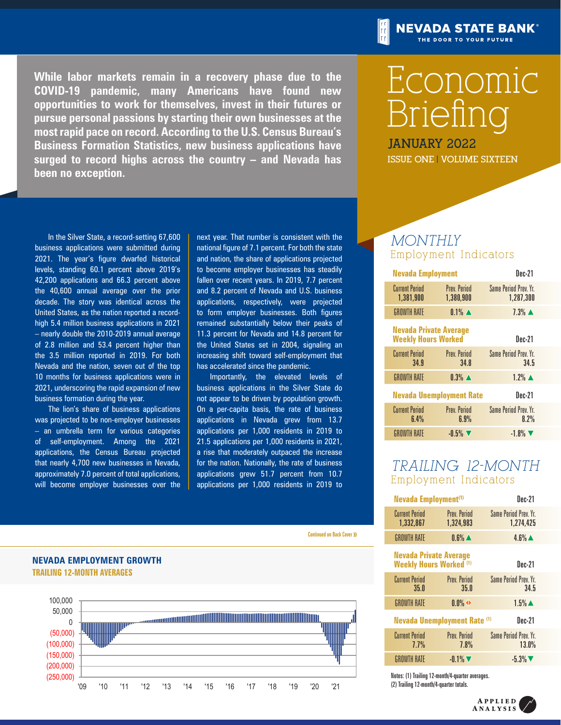**While labor markets remain in a recovery phase due to the COVID-19 pandemic, many Americans have found new opportunities to work for themselves, invest in their futures or pursue personal passions by starting their own businesses at the most rapid pace on record. According to the U.S. Census Bureau's Business Formation Statistics, new business applications have surged to record highs across the country – and Nevada has been no exception.**

# **NEVADA STATE BANK®** THE DOOR TO YOUR FUTURE

# Economic Briefing

**January 2022 ISSUE ONE | VOLUME SIXTEEN**

# *MONTHLY* Employment Indicators

| <b>Nevada Employment</b>                                    |                                  | Dec-21                               |
|-------------------------------------------------------------|----------------------------------|--------------------------------------|
| <b>Current Period</b><br>1,381,900                          | <b>Prev. Period</b><br>1,380,900 | Same Period Prev. Yr.<br>1,287,300   |
| <b>GROWTH RATE</b>                                          | $0.1\%$ $\triangle$              | $7.3\%$ $\triangle$                  |
| <b>Nevada Private Average</b><br><b>Weekly Hours Worked</b> |                                  | Dec-21                               |
| <b>Current Period</b><br>34.9                               | <b>Prev. Period</b><br>34.8      | Same Period Prev. Yr.<br>34.5        |
| <b>GROWTH RATE</b>                                          | $0.3\%$ $\blacktriangle$         | $1.2\%$ $\triangle$                  |
| <b>Nevada Unemployment Rate</b>                             |                                  | Dec-21                               |
| <b>Current Period</b><br>6.4%                               | <b>Prev Period</b><br>6.9%       | <b>Same Period Prev. Yr.</b><br>8.2% |
| <b>GROWTH RATE</b>                                          | $-0.5\%$                         | $-1.8\%$                             |

# *TRAILING 12-MONTH*  Employment Indicators

|                                         | Nevada Employment <sup>(1)</sup>                                |                                  | Dec-21                             |  |
|-----------------------------------------|-----------------------------------------------------------------|----------------------------------|------------------------------------|--|
|                                         | <b>Current Period</b><br>1,332,867                              | <b>Prev. Period</b><br>1,324,983 | Same Period Prev. Yr.<br>1,274,425 |  |
| <b>Continued on Back Cover &gt;&gt;</b> | <b>GROWTH RATE</b>                                              | $0.6\%$ $\triangle$              | $4.6\%$ $\triangle$                |  |
|                                         | <b>Nevada Private Average</b><br><b>Weekly Hours Worked (1)</b> |                                  | <b>Dec-21</b>                      |  |
|                                         | <b>Current Period</b><br>35.0                                   | <b>Prev. Period</b><br>35.0      | Same Period Prev. Yr.<br>34.5      |  |
|                                         | <b>GROWTH RATE</b>                                              | $0.0\%$ $\leftrightarrow$        | $1.5\%$ $\triangle$                |  |
|                                         | <b>Nevada Unemployment Rate (1)</b>                             |                                  | <b>Dec-21</b>                      |  |
|                                         | <b>Current Period</b><br>7.7%                                   | <b>Prev. Period</b><br>7.8%      | Same Period Prev. Yr.<br>13.0%     |  |
|                                         | <b>GROWTH RATE</b>                                              | $-0.1\%$                         | $-5.3\%$                           |  |
|                                         |                                                                 |                                  |                                    |  |

Notes: (1) Trailing 12-month/4-quarter averages. 31 (2) Trailing 12-month/4-quarter totals.  $\mathsf{S}$ .

In the Silver State, a record-setting 67,600 business applications were submitted during 2021. The year's figure dwarfed historical levels, standing 60.1 percent above 2019's 42,200 applications and 66.3 percent above the 40,600 annual average over the prior decade. The story was identical across the United States, as the nation reported a recordhigh 5.4 million business applications in 2021 – nearly double the 2010-2019 annual average of 2.8 million and 53.4 percent higher than the 3.5 million reported in 2019. For both Nevada and the nation, seven out of the top 10 months for business applications were in 2021, underscoring the rapid expansion of new business formation during the year.

The lion's share of business applications was projected to be non-employer businesses – an umbrella term for various categories of self-employment. Among the 2021 applications, the Census Bureau projected that nearly 4,700 new businesses in Nevada, approximately 7.0 percent of total applications, will become employer businesses over the

**TRAILING 12-MONTH AVERAGES**

**NEVADA EMPLOYMENT GROWTH**

next year. That number is consistent with the national figure of 7.1 percent. For both the state and nation, the share of applications projected to become employer businesses has steadily fallen over recent years. In 2019, 7.7 percent and 8.2 percent of Nevada and U.S. business applications, respectively, were projected to form employer businesses. Both figures remained substantially below their peaks of 11.3 percent for Nevada and 14.8 percent for the United States set in 2004, signaling an increasing shift toward self-employment that has accelerated since the pandemic.

Importantly, the elevated levels of business applications in the Silver State do not appear to be driven by population growth. On a per-capita basis, the rate of business applications in Nevada grew from 13.7 applications per 1,000 residents in 2019 to 21.5 applications per 1,000 residents in 2021, a rise that moderately outpaced the increase for the nation. Nationally, the rate of business applications grew 51.7 percent from 10.7 applications per 1,000 residents in 2019 to

#### Continued on Back Cover >>



APPLIED **ANALYSIS**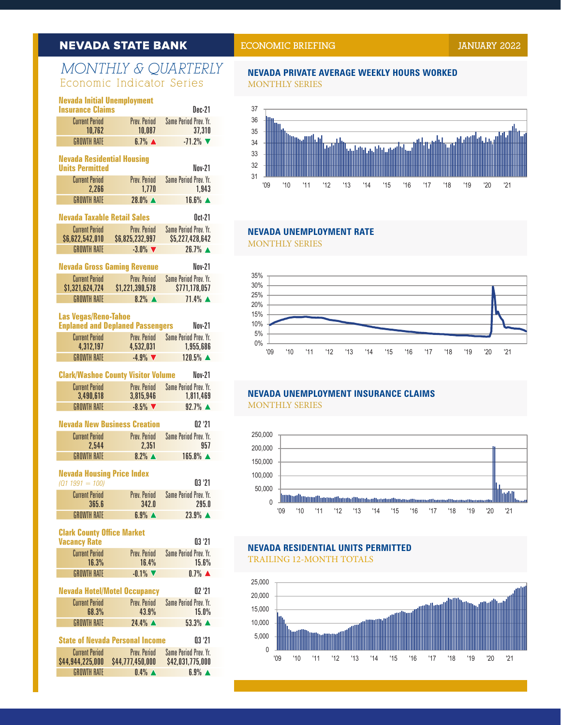# **NEVADA STATE BANK**

Nevada Employment Growth

Clark County/Washoe County Visitor Volume

# MONTHLY & QUARTERLY Economic Indicator Series

|                                        | <b>Nevada Initial Unemployment</b><br><b>Insurance Claims</b>                                                                                                                                                                                                                 |
|----------------------------------------|-------------------------------------------------------------------------------------------------------------------------------------------------------------------------------------------------------------------------------------------------------------------------------|
| Prev. Period                           | <b>Current Period</b><br>10,762                                                                                                                                                                                                                                               |
| $6.7\%$ $\triangle$                    | <b>GROWTH RATE</b>                                                                                                                                                                                                                                                            |
|                                        | <b>Nevada Residential Housing</b><br><b>Units Permitted</b>                                                                                                                                                                                                                   |
| Prev. Period<br>1,770                  | <b>Current Period</b><br>2,266                                                                                                                                                                                                                                                |
| 28.0% ▲                                | <b>GROWTH RATE</b>                                                                                                                                                                                                                                                            |
|                                        | <b>Nevada Taxable Retail Sales</b>                                                                                                                                                                                                                                            |
| Prev. Period<br>\$6,825,232,997        | <b>Current Period</b><br>\$6,622,542,010                                                                                                                                                                                                                                      |
| $-3.0\%$                               | <b>GROWTH RATE</b>                                                                                                                                                                                                                                                            |
|                                        |                                                                                                                                                                                                                                                                               |
| Prev. Period                           | <b>Current Period</b><br>\$1,321,624,724                                                                                                                                                                                                                                      |
| $8.2\%$ $\triangle$                    | <b>GROWTH RATE</b>                                                                                                                                                                                                                                                            |
|                                        | <b>Las Vegas/Reno-Tahoe</b>                                                                                                                                                                                                                                                   |
| Prev. Period                           | <b>Current Period</b>                                                                                                                                                                                                                                                         |
|                                        | 4,312,197<br><b>GROWTH RATE</b>                                                                                                                                                                                                                                               |
|                                        |                                                                                                                                                                                                                                                                               |
|                                        | <b>Current Period</b>                                                                                                                                                                                                                                                         |
| 3,815,946                              | 3,490,618                                                                                                                                                                                                                                                                     |
| $-8.5\%$                               | <b>GROWTH RATE</b>                                                                                                                                                                                                                                                            |
|                                        |                                                                                                                                                                                                                                                                               |
| Prev. Period<br>2,351                  | <b>Current Period</b><br>2,544                                                                                                                                                                                                                                                |
| $8.2\%$ $\triangle$                    | <b>GROWTH RATE</b>                                                                                                                                                                                                                                                            |
|                                        | <b>Nevada Housing Price Index</b><br>$(Q1 1991 = 100)$                                                                                                                                                                                                                        |
| Prev. Period<br>342.0                  | <b>Current Period</b><br>365.6                                                                                                                                                                                                                                                |
| $6.9%$ $\triangle$                     | <b>GROWTH RATE</b>                                                                                                                                                                                                                                                            |
|                                        | <b>Clark County Office Market</b><br><b>Vacancy Rate</b>                                                                                                                                                                                                                      |
| Prev. Period<br>16.4%                  | <b>Current Period</b><br>16.3%                                                                                                                                                                                                                                                |
| $-0.1\%$                               | <b>GROWTH RATE</b>                                                                                                                                                                                                                                                            |
|                                        |                                                                                                                                                                                                                                                                               |
| Prev. Period<br>43.9%                  | <b>Current Period</b><br>68.3%                                                                                                                                                                                                                                                |
| 24.4% ▲                                | <b>GROWTH RATE</b>                                                                                                                                                                                                                                                            |
| <b>State of Nevada Personal Income</b> |                                                                                                                                                                                                                                                                               |
| Prev. Period                           | <b>Current Period</b>                                                                                                                                                                                                                                                         |
|                                        | 10,087<br><b>Nevada Gross Gaming Revenue</b><br>\$1,221,390,578<br><b>Enplaned and Deplaned Passengers</b><br>4,532,031<br>$-4.9%$<br><b>Clark/Washoe County Visitor Volume</b><br>Prev. Period<br><b>Nevada New Business Creation</b><br><b>Nevada Hotel/Motel Occupancy</b> |

| Current Period   | Prev Period                       | Same Period Prev. Yr. |
|------------------|-----------------------------------|-----------------------|
| \$44,944,225,000 | \$44,777,450,000                  | \$42,031,775,000      |
| GROWTH RATE      | $\mathbf{0.4\%}$ $\blacktriangle$ | $6.9%$ $\triangle$    |

# **ECONOMIC BRIEFING** *LANDARY* 2022

### **NEVADA PRIVATE AVERAGE WEEKLY HOURS WORKED** MONTHLY SERIES



# NEVADA UNEMPLOYMENT RATE

MONTHLY SERIES



#### $\overline{O(181797)}$   $\overline{O(1877917)}$   $\overline{O(1617997)}$   $\overline{O(181999)}$ 25,000 **NEVADA UNEMPLOYMENT INSURANCE CLAIMS** MONTHLY SERIES



### TRAILING 12-MONTH TOTALS 60 \$0 **NEVADA RESIDENTIAL UNITS PERMITTED**

\$5,000

\$6,000

\$15,000

Millions



Trailing 12-Month Totals

Growth in Nevada Gross Gaming Revenues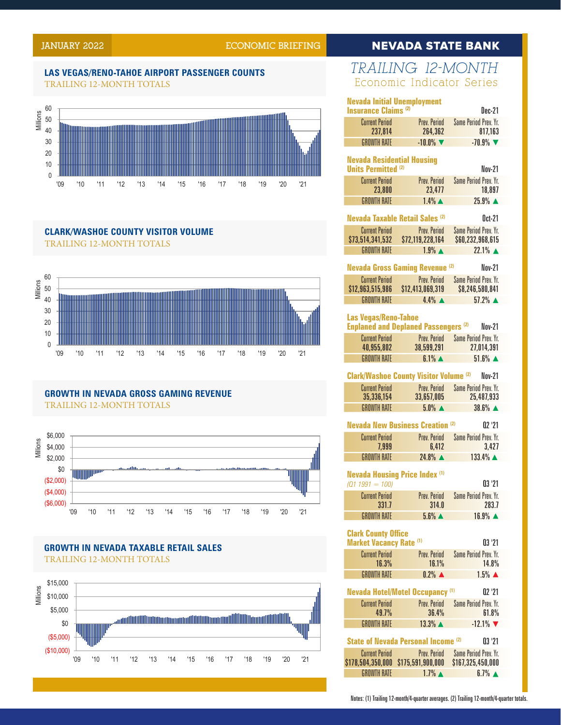10%

20%

35%

# **JANUARY 2022 ECONOMIC BRIEFING**

# DA

Monthly Series

#### TRAILING 12-MONTH TOTALS AS VE 5% **LAS VEGAS/RENO-TAHOE AIRPORT PASSENGER COUNTS** 33



Trailing 12-Month Averages

#### TRAILING 12-MONTH TOTALS  $\mathbf{r}$ **CLARK/WASHOE COUNTY VISITOR VOLUME**



#### $\mathbf{r}$  ii in Nevada odoo oamino Deveniif Growth in Nevada Taxable Retail Sales **GROWTH IN NEVADA GROSS GAMING REVENUE** Trailing 12-Month Totals TRAILING 12-MONTH TOTALS



## **GROWTH IN NEVADA TAXABLE RETAIL SALES** TRAILING 12-MONTH TOTALS



#### *TRAILING 12-MONTH*  35 50,000 Economic Indicator Series  $\frac{1}{1}$ '09 '10 '11 '12 '13 '14 '15 '16 '17 '18 '19 '20 '21

150,000

250,000

| <b>Nevada Initial Unemployment</b><br><b>Insurance Claims (2)</b> |                                               | Dec-21                             |
|-------------------------------------------------------------------|-----------------------------------------------|------------------------------------|
| <b>Current Period</b>                                             | Prev. Period                                  | <b>Same Period Prev. Yr.</b>       |
| 237,814                                                           | 264,362                                       | 817,163                            |
| <b>GROWTH RATE</b>                                                | $-10.0\%$                                     | $-70.9%$                           |
| <b>Nevada Residential Housing</b>                                 |                                               |                                    |
| <b>Units Permitted (2)</b>                                        |                                               | Nov-21                             |
| <b>Current Period</b>                                             | <b>Prev. Period</b>                           | Same Period Prev. Yr.              |
| 23,800                                                            | 23,477                                        | 18,897                             |
| <b>GROWTH RATE</b>                                                | $1.4\%$ $\triangle$                           | $25.9%$ $\triangle$                |
| Nevada Taxable Retail Sales <sup>(2)</sup>                        |                                               | Oct-21                             |
| <b>Current Period</b>                                             | Prev. Period                                  | <b>Same Period Prev. Yr.</b>       |
| \$73,514,341,532                                                  | \$72,119,228,164                              | \$60,232,968,615                   |
| <b>GROWTH RATE</b>                                                | $1.9\%$ $\triangle$                           | $22.1\%$ $\triangle$               |
|                                                                   | <b>Nevada Gross Gaming Revenue (2)</b>        | <b>Nov-21</b>                      |
| <b>Current Period</b>                                             | Prev. Period                                  | <b>Same Period Prev. Yr.</b>       |
| \$12,963,515,986                                                  | \$12,413,069,319                              | \$8,246,580,841                    |
| <b>GROWTH RATE</b>                                                | $4.4\%$ $\triangle$                           | $57.2\%$ $\triangle$               |
|                                                                   |                                               |                                    |
| <b>Las Vegas/Reno-Tahoe</b>                                       |                                               |                                    |
|                                                                   | <b>Enplaned and Deplaned Passengers (2)</b>   | <b>Nov-21</b>                      |
| <b>Current Period</b>                                             | Prev. Period                                  | Same Period Prev. Yr.              |
| 40,955,802<br><b>GROWTH RATE</b>                                  | 38,599,291<br>$6.1\%$ $\triangle$             | 27,014,391<br>$51.6\%$ $\triangle$ |
|                                                                   |                                               |                                    |
|                                                                   | <b>Clark/Washoe County Visitor Volume (2)</b> | Nov-21                             |
| <b>Current Period</b>                                             | Prev. Period                                  | Same Period Prev. Yr.              |
| 35,336,154                                                        | 33,657,005                                    | 25,487,933                         |
| <b>GROWTH RATE</b>                                                | $5.0\%$ $\triangle$                           | $38.6\%$ $\triangle$               |
|                                                                   | <b>Nevada New Business Creation (2)</b>       | 02'21                              |
|                                                                   |                                               |                                    |
| <b>Current Period</b><br>7,999                                    | Prev. Period<br>6,412                         | Same Period Prev. Yr.<br>3,427     |
| <b>GROWTH RATE</b>                                                | 24.8% ▲                                       | 133.4% ▲                           |
|                                                                   |                                               |                                    |
| <b>Nevada Housing Price Index (1)</b>                             |                                               |                                    |
| $(Q1 1991 = 100)$                                                 |                                               | 03'21                              |
| <b>Current Period</b>                                             | Prev. Period                                  | Same Period Prev. Yr.              |
| 331.7                                                             | 314.0                                         | 283.7                              |
| <b>GROWTH RATE</b>                                                | $5.6\%$ $\triangle$                           | 16.9% ▲                            |
| <b>Clark County Office</b>                                        |                                               |                                    |
| <b>Market Vacancy Rate (1)</b>                                    |                                               | 03'21                              |
| <b>Current Period</b>                                             | Prev. Period                                  | <b>Same Period Prev. Yr.</b>       |
| 16.3%                                                             | 16.1%                                         | 14.8%                              |
| <b>GROWTH RATE</b>                                                | $0.2\%$ $\triangle$                           | $1.5\%$ $\triangle$                |
|                                                                   |                                               |                                    |
|                                                                   | <b>Nevada Hotel/Motel Occupancy (1)</b>       | 02'21                              |
| <b>Current Period</b>                                             | Prev. Period                                  | Same Period Prev. Yr.              |
| 49.7%                                                             | 36.4%                                         | 61.8%                              |
| <b>GROWTH RATE</b>                                                | $13.3\%$ $\triangle$                          | $-12.1\%$                          |
|                                                                   | State of Nevada Personal Income (2)           | 03'21                              |
| <b>Current Period</b>                                             | Prev. Period                                  | Same Period Prev. Yr.              |
| \$178,504,350,000                                                 | \$175,591,900,000                             | \$167,325,450,000                  |
| <b>GROWTH RATE</b>                                                | $1.7\%$ $\triangle$                           | $6.7\%$ $\triangle$                |
|                                                                   |                                               |                                    |

Notes: (1) Trailing 12-month/4-quarter averages. (2) Trailing 12-month/4-quarter totals.